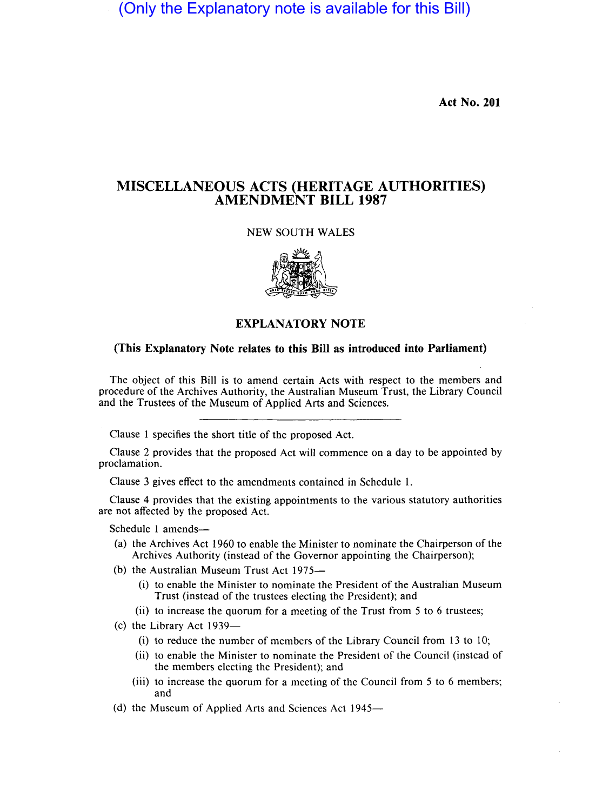(Only the Explanatory note is available for this Bill)

**Act No. 201** 

## **MISCELLANEOUS ACTS (HERITAGE AUTHORITIES) AMENDMENT BILL 1987**

## NEW SOUTH WALES



## **EXPLANATORY NOTE**

## **(This Explanatory Note relates to this Bill as introduced into Parliament)**

The object of this Bill is to amend certain Acts with respect to the members and procedure of the Archives Authority, the Australian Museum Trust, the Library Council and the Trustees of the Museum of Applied Arts and Sciences.

Clause I specifies the short title of the proposed Act.

Clause 2 provides that the proposed Act will commence on a day to be appointed by proclamation.

Clause 3 gives effect to the amendments contained in Schedule I.

Clause 4 provides that the existing appointments to the various statutory authorities are not affected by the proposed Act.

Schedule 1 amends-

- (a) the Archives Act 1960 to enable the Minister to nominate the Chairperson of the Archives Authority (instead of the Governor appointing the Chairperson);
- (b) the Australian Museum Trust Act 1975-
	- (i) to enable the Minister to nominate the President of the Australian Museum Trust (instead of the trustees electing the President); and
	- (ii) to increase the quorum for a meeting of the Trust from 5 to 6 trustees;
- (c) the Library Act 1939-
	- (i) to reduce the number of members of the Library Council from 13 to 10;
	- (ii) to enable the Minister to nominate the President of the Council (instead of the members electing the President); and
	- (iii) to increase the quorum for a meeting of the Council from 5 to 6 members; and
- (d) the Museum of Applied Arts and Sciences Act 1945-